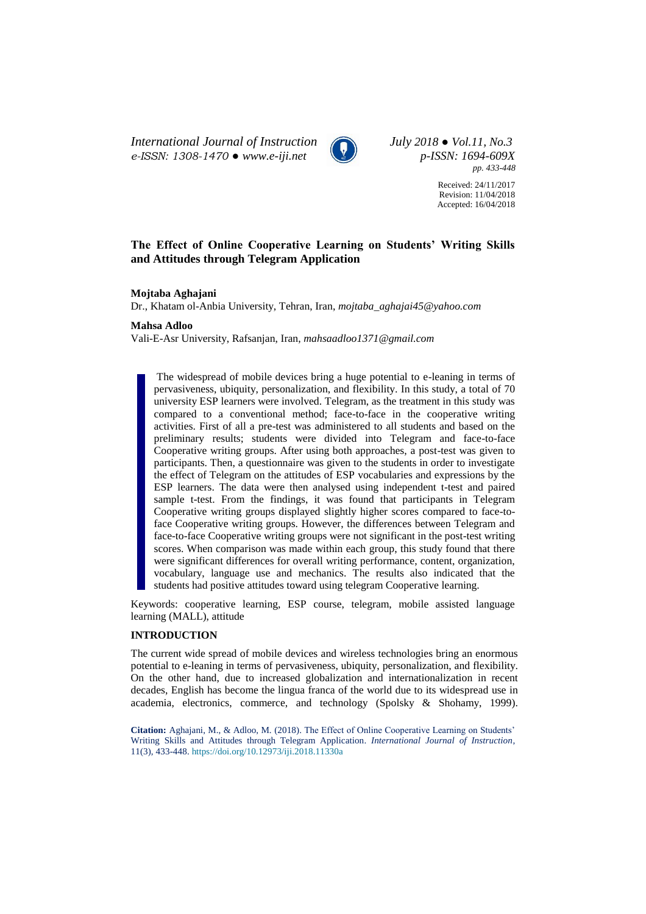*International Journal of Instruction July 2018 ● Vol.11, No.3 e-ISSN: 1308-1470 ● [www.e-iji.net](http://www.e-iji.net/) p-ISSN: 1694-609X*



*pp. 433-448*

Received: 24/11/2017 Revision: 11/04/2018 Accepted: 16/04/2018

# **The Effect of Online Cooperative Learning on Students' Writing Skills and Attitudes through Telegram Application**

**Mojtaba Aghajani**

Dr., Khatam ol-Anbia University, Tehran, Iran, *mojtaba\_aghajai45@yahoo.com*

## **Mahsa Adloo**

Vali-E-Asr University, Rafsanjan, Iran, *mahsaadloo1371@gmail.com*

The widespread of mobile devices bring a huge potential to e-leaning in terms of pervasiveness, ubiquity, personalization, and flexibility. In this study, a total of 70 university ESP learners were involved. Telegram, as the treatment in this study was compared to a conventional method; face-to-face in the cooperative writing activities. First of all a pre-test was administered to all students and based on the preliminary results; students were divided into Telegram and face-to-face Cooperative writing groups. After using both approaches, a post-test was given to participants. Then, a questionnaire was given to the students in order to investigate the effect of Telegram on the attitudes of ESP vocabularies and expressions by the ESP learners. The data were then analysed using independent t-test and paired sample t-test. From the findings, it was found that participants in Telegram Cooperative writing groups displayed slightly higher scores compared to face-toface Cooperative writing groups. However, the differences between Telegram and face-to-face Cooperative writing groups were not significant in the post-test writing scores. When comparison was made within each group, this study found that there were significant differences for overall writing performance, content, organization, vocabulary, language use and mechanics. The results also indicated that the students had positive attitudes toward using telegram Cooperative learning.

Keywords: cooperative learning, ESP course, telegram, mobile assisted language learning (MALL), attitude

## **INTRODUCTION**

The current wide spread of mobile devices and wireless technologies bring an enormous potential to e-leaning in terms of pervasiveness, ubiquity, personalization, and flexibility. On the other hand, due to increased globalization and internationalization in recent decades, English has become the lingua franca of the world due to its widespread use in academia, electronics, commerce, and technology (Spolsky & Shohamy, 1999).

**Citation:** Aghajani, M., & Adloo, M. (2018). The Effect of Online Cooperative Learning on Students' Writing Skills and Attitudes through Telegram Application. *International Journal of Instruction*, 11(3), 433-448. <https://doi.org/10.12973/iji.2018.11330a>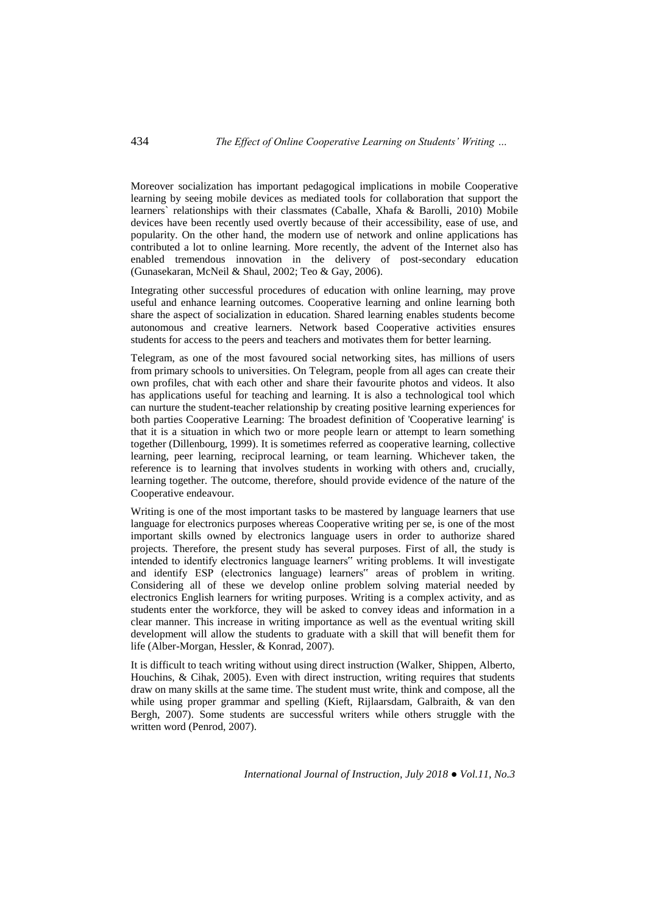Moreover socialization has important pedagogical implications in mobile Cooperative learning by seeing mobile devices as mediated tools for collaboration that support the learners` relationships with their classmates (Caballe, Xhafa & Barolli, 2010) Mobile devices have been recently used overtly because of their accessibility, ease of use, and popularity. On the other hand, the modern use of network and online applications has contributed a lot to online learning. More recently, the advent of the Internet also has enabled tremendous innovation in the delivery of post-secondary education (Gunasekaran, McNeil & Shaul, 2002; Teo & Gay, 2006).

Integrating other successful procedures of education with online learning, may prove useful and enhance learning outcomes. Cooperative learning and online learning both share the aspect of socialization in education. Shared learning enables students become autonomous and creative learners. Network based Cooperative activities ensures students for access to the peers and teachers and motivates them for better learning.

Telegram, as one of the most favoured social networking sites, has millions of users from primary schools to universities. On Telegram, people from all ages can create their own profiles, chat with each other and share their favourite photos and videos. It also has applications useful for teaching and learning. It is also a technological tool which can nurture the student-teacher relationship by creating positive learning experiences for both parties Cooperative Learning: The broadest definition of 'Cooperative learning' is that it is a situation in which two or more people learn or attempt to learn something together (Dillenbourg, 1999). It is sometimes referred as cooperative learning, collective learning, peer learning, reciprocal learning, or team learning. Whichever taken, the reference is to learning that involves students in working with others and, crucially, learning together. The outcome, therefore, should provide evidence of the nature of the Cooperative endeavour.

Writing is one of the most important tasks to be mastered by language learners that use language for electronics purposes whereas Cooperative writing per se, is one of the most important skills owned by electronics language users in order to authorize shared projects. Therefore, the present study has several purposes. First of all, the study is intended to identify electronics language learners" writing problems. It will investigate and identify ESP (electronics language) learners" areas of problem in writing. Considering all of these we develop online problem solving material needed by electronics English learners for writing purposes. Writing is a complex activity, and as students enter the workforce, they will be asked to convey ideas and information in a clear manner. This increase in writing importance as well as the eventual writing skill development will allow the students to graduate with a skill that will benefit them for life (Alber-Morgan, Hessler, & Konrad, 2007).

It is difficult to teach writing without using direct instruction (Walker, Shippen, Alberto, Houchins, & Cihak, 2005). Even with direct instruction, writing requires that students draw on many skills at the same time. The student must write, think and compose, all the while using proper grammar and spelling (Kieft, Rijlaarsdam, Galbraith, & van den Bergh, 2007). Some students are successful writers while others struggle with the written word (Penrod, 2007).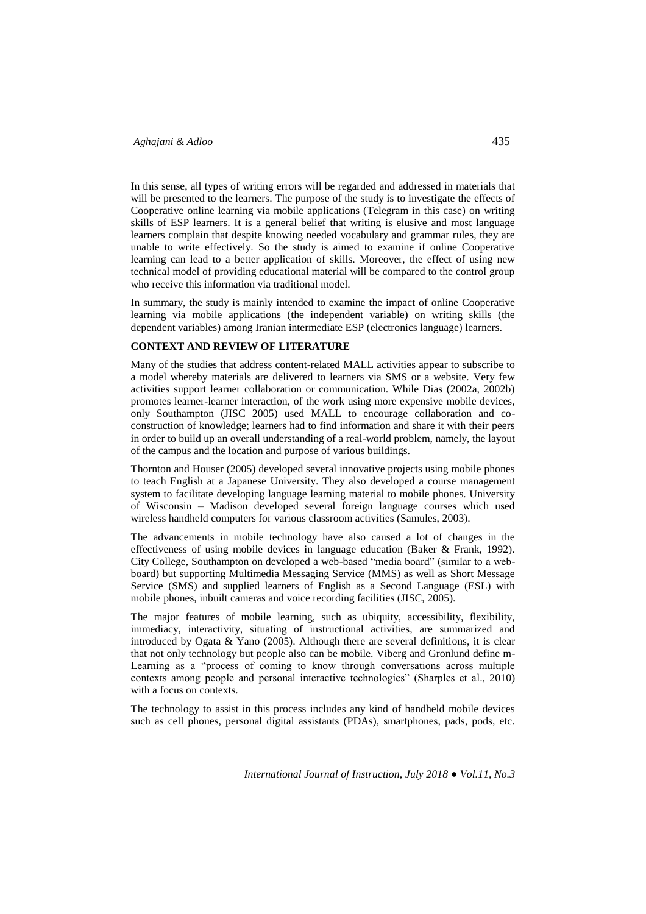In this sense, all types of writing errors will be regarded and addressed in materials that will be presented to the learners. The purpose of the study is to investigate the effects of Cooperative online learning via mobile applications (Telegram in this case) on writing skills of ESP learners. It is a general belief that writing is elusive and most language learners complain that despite knowing needed vocabulary and grammar rules, they are unable to write effectively. So the study is aimed to examine if online Cooperative learning can lead to a better application of skills. Moreover, the effect of using new technical model of providing educational material will be compared to the control group who receive this information via traditional model.

In summary, the study is mainly intended to examine the impact of online Cooperative learning via mobile applications (the independent variable) on writing skills (the dependent variables) among Iranian intermediate ESP (electronics language) learners.

## **CONTEXT AND REVIEW OF LITERATURE**

Many of the studies that address content-related MALL activities appear to subscribe to a model whereby materials are delivered to learners via SMS or a website. Very few activities support learner collaboration or communication. While Dias (2002a, 2002b) promotes learner-learner interaction, of the work using more expensive mobile devices, only Southampton (JISC 2005) used MALL to encourage collaboration and coconstruction of knowledge; learners had to find information and share it with their peers in order to build up an overall understanding of a real-world problem, namely, the layout of the campus and the location and purpose of various buildings.

Thornton and Houser (2005) developed several innovative projects using mobile phones to teach English at a Japanese University. They also developed a course management system to facilitate developing language learning material to mobile phones. University of Wisconsin – Madison developed several foreign language courses which used wireless handheld computers for various classroom activities (Samules, 2003).

The advancements in mobile technology have also caused a lot of changes in the effectiveness of using mobile devices in language education (Baker & Frank, 1992). City College, Southampton on developed a web-based "media board" (similar to a webboard) but supporting Multimedia Messaging Service (MMS) as well as Short Message Service (SMS) and supplied learners of English as a Second Language (ESL) with mobile phones, inbuilt cameras and voice recording facilities (JISC, 2005).

The major features of mobile learning, such as ubiquity, accessibility, flexibility, immediacy, interactivity, situating of instructional activities, are summarized and introduced by Ogata & Yano (2005). Although there are several definitions, it is clear that not only technology but people also can be mobile. Viberg and Gronlund define m-Learning as a "process of coming to know through conversations across multiple contexts among people and personal interactive technologies" (Sharples et al., 2010) with a focus on contexts.

The technology to assist in this process includes any kind of handheld mobile devices such as cell phones, personal digital assistants (PDAs), smartphones, pads, pods, etc.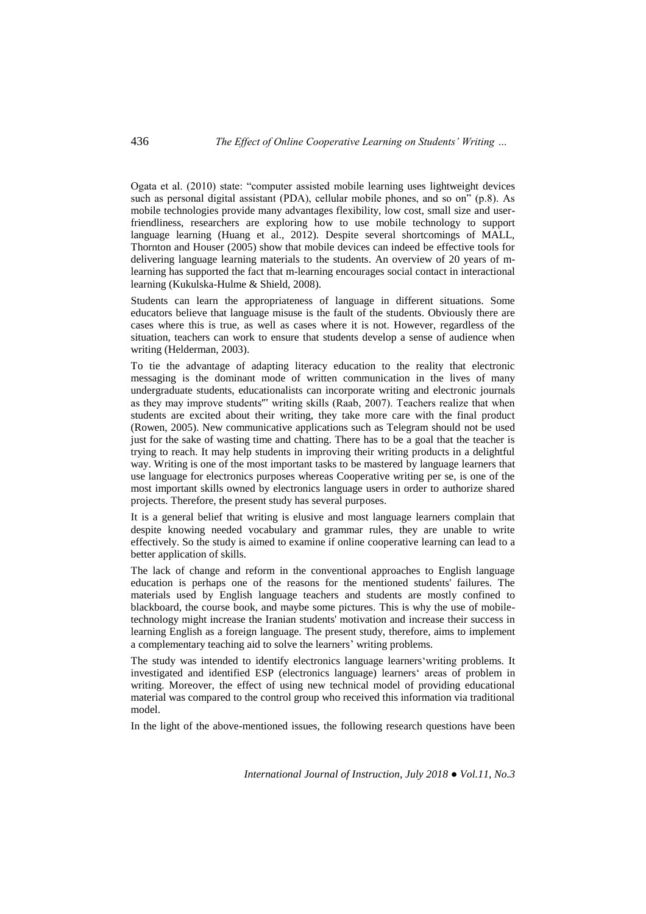Ogata et al. (2010) state: "computer assisted mobile learning uses lightweight devices such as personal digital assistant (PDA), cellular mobile phones, and so on" (p.8). As mobile technologies provide many advantages flexibility, low cost, small size and userfriendliness, researchers are exploring how to use mobile technology to support language learning (Huang et al., 2012). Despite several shortcomings of MALL, Thornton and Houser (2005) show that mobile devices can indeed be effective tools for delivering language learning materials to the students. An overview of 20 years of mlearning has supported the fact that m-learning encourages social contact in interactional learning (Kukulska-Hulme & Shield, 2008).

Students can learn the appropriateness of language in different situations. Some educators believe that language misuse is the fault of the students. Obviously there are cases where this is true, as well as cases where it is not. However, regardless of the situation, teachers can work to ensure that students develop a sense of audience when writing (Helderman, 2003).

To tie the advantage of adapting literacy education to the reality that electronic messaging is the dominant mode of written communication in the lives of many undergraduate students, educationalists can incorporate writing and electronic journals as they may improve students'" writing skills (Raab, 2007). Teachers realize that when students are excited about their writing, they take more care with the final product (Rowen, 2005). New communicative applications such as Telegram should not be used just for the sake of wasting time and chatting. There has to be a goal that the teacher is trying to reach. It may help students in improving their writing products in a delightful way. Writing is one of the most important tasks to be mastered by language learners that use language for electronics purposes whereas Cooperative writing per se, is one of the most important skills owned by electronics language users in order to authorize shared projects. Therefore, the present study has several purposes.

It is a general belief that writing is elusive and most language learners complain that despite knowing needed vocabulary and grammar rules, they are unable to write effectively. So the study is aimed to examine if online cooperative learning can lead to a better application of skills.

The lack of change and reform in the conventional approaches to English language education is perhaps one of the reasons for the mentioned students' failures. The materials used by English language teachers and students are mostly confined to blackboard, the course book, and maybe some pictures. This is why the use of mobiletechnology might increase the Iranian students' motivation and increase their success in learning English as a foreign language. The present study, therefore, aims to implement a complementary teaching aid to solve the learners' writing problems.

The study was intended to identify electronics language learners'writing problems. It investigated and identified ESP (electronics language) learners' areas of problem in writing. Moreover, the effect of using new technical model of providing educational material was compared to the control group who received this information via traditional model.

In the light of the above-mentioned issues, the following research questions have been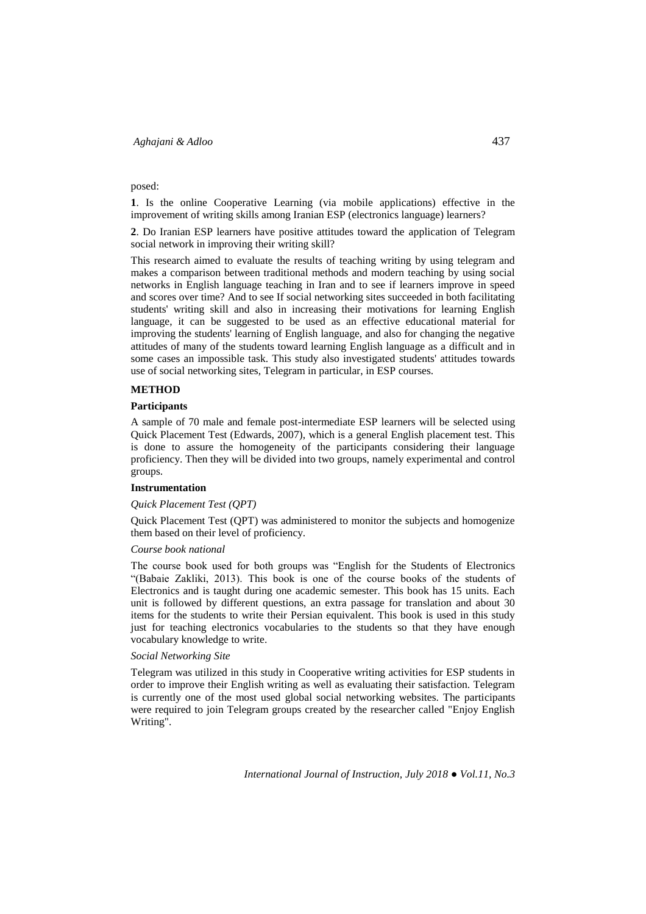## posed:

**1**. Is the online Cooperative Learning (via mobile applications) effective in the improvement of writing skills among Iranian ESP (electronics language) learners?

**2**. Do Iranian ESP learners have positive attitudes toward the application of Telegram social network in improving their writing skill?

This research aimed to evaluate the results of teaching writing by using telegram and makes a comparison between traditional methods and modern teaching by using social networks in English language teaching in Iran and to see if learners improve in speed and scores over time? And to see If social networking sites succeeded in both facilitating students' writing skill and also in increasing their motivations for learning English language, it can be suggested to be used as an effective educational material for improving the students' learning of English language, and also for changing the negative attitudes of many of the students toward learning English language as a difficult and in some cases an impossible task. This study also investigated students' attitudes towards use of social networking sites, Telegram in particular, in ESP courses.

## **METHOD**

## **Participants**

A sample of 70 male and female post-intermediate ESP learners will be selected using Quick Placement Test (Edwards, 2007), which is a general English placement test. This is done to assure the homogeneity of the participants considering their language proficiency. Then they will be divided into two groups, namely experimental and control groups.

#### **Instrumentation**

#### *Quick Placement Test (QPT)*

Quick Placement Test (QPT) was administered to monitor the subjects and homogenize them based on their level of proficiency.

### *Course book national*

The course book used for both groups was "English for the Students of Electronics "(Babaie Zakliki, 2013). This book is one of the course books of the students of Electronics and is taught during one academic semester. This book has 15 units. Each unit is followed by different questions, an extra passage for translation and about 30 items for the students to write their Persian equivalent. This book is used in this study just for teaching electronics vocabularies to the students so that they have enough vocabulary knowledge to write.

### *Social Networking Site*

Telegram was utilized in this study in Cooperative writing activities for ESP students in order to improve their English writing as well as evaluating their satisfaction. Telegram is currently one of the most used global social networking websites. The participants were required to join Telegram groups created by the researcher called "Enjoy English Writing".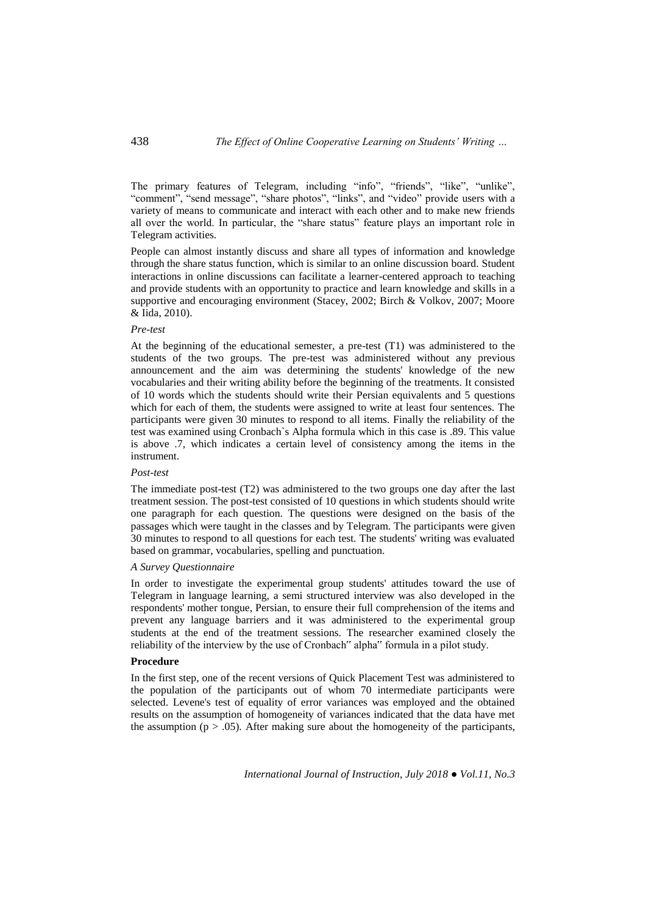The primary features of Telegram, including "info", "friends", "like", "unlike", "comment", "send message", "share photos", "links", and "video" provide users with a variety of means to communicate and interact with each other and to make new friends all over the world. In particular, the "share status" feature plays an important role in Telegram activities.

People can almost instantly discuss and share all types of information and knowledge through the share status function, which is similar to an online discussion board. Student interactions in online discussions can facilitate a learner-centered approach to teaching and provide students with an opportunity to practice and learn knowledge and skills in a supportive and encouraging environment (Stacey, 2002; Birch & Volkov, 2007; Moore & Iida, 2010).

## *Pre-test*

At the beginning of the educational semester, a pre-test (T1) was administered to the students of the two groups. The pre-test was administered without any previous announcement and the aim was determining the students' knowledge of the new vocabularies and their writing ability before the beginning of the treatments. It consisted of 10 words which the students should write their Persian equivalents and 5 questions which for each of them, the students were assigned to write at least four sentences. The participants were given 30 minutes to respond to all items. Finally the reliability of the test was examined using Cronbach`s Alpha formula which in this case is .89. This value is above .7, which indicates a certain level of consistency among the items in the instrument.

### *Post-test*

The immediate post-test (T2) was administered to the two groups one day after the last treatment session. The post-test consisted of 10 questions in which students should write one paragraph for each question. The questions were designed on the basis of the passages which were taught in the classes and by Telegram. The participants were given 30 minutes to respond to all questions for each test. The students' writing was evaluated based on grammar, vocabularies, spelling and punctuation.

## *A Survey Questionnaire*

In order to investigate the experimental group students' attitudes toward the use of Telegram in language learning, a semi structured interview was also developed in the respondents' mother tongue, Persian, to ensure their full comprehension of the items and prevent any language barriers and it was administered to the experimental group students at the end of the treatment sessions. The researcher examined closely the reliability of the interview by the use of Cronbach" alpha" formula in a pilot study.

# **Procedure**

In the first step, one of the recent versions of Quick Placement Test was administered to the population of the participants out of whom 70 intermediate participants were selected. Levene's test of equality of error variances was employed and the obtained results on the assumption of homogeneity of variances indicated that the data have met the assumption ( $p > .05$ ). After making sure about the homogeneity of the participants,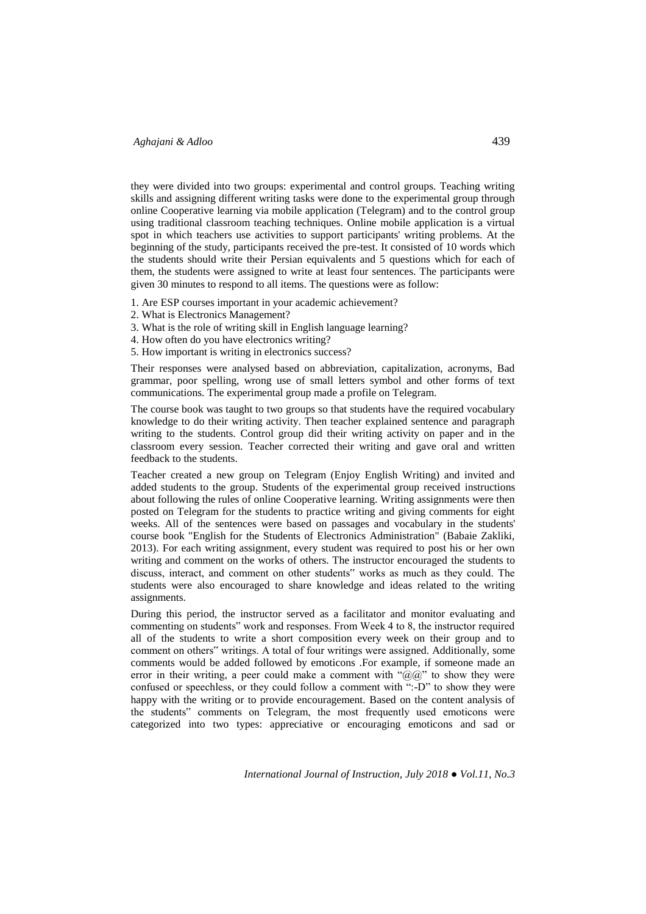## *Aghajani & Adloo* 439

they were divided into two groups: experimental and control groups. Teaching writing skills and assigning different writing tasks were done to the experimental group through online Cooperative learning via mobile application (Telegram) and to the control group using traditional classroom teaching techniques. Online mobile application is a virtual spot in which teachers use activities to support participants' writing problems. At the beginning of the study, participants received the pre-test. It consisted of 10 words which the students should write their Persian equivalents and 5 questions which for each of them, the students were assigned to write at least four sentences. The participants were given 30 minutes to respond to all items. The questions were as follow:

- 1. Are ESP courses important in your academic achievement?
- 2. What is Electronics Management?
- 3. What is the role of writing skill in English language learning?
- 4. How often do you have electronics writing?
- 5. How important is writing in electronics success?

Their responses were analysed based on abbreviation, capitalization, acronyms, Bad grammar, poor spelling, wrong use of small letters symbol and other forms of text communications. The experimental group made a profile on Telegram.

The course book was taught to two groups so that students have the required vocabulary knowledge to do their writing activity. Then teacher explained sentence and paragraph writing to the students. Control group did their writing activity on paper and in the classroom every session. Teacher corrected their writing and gave oral and written feedback to the students.

Teacher created a new group on Telegram (Enjoy English Writing) and invited and added students to the group. Students of the experimental group received instructions about following the rules of online Cooperative learning. Writing assignments were then posted on Telegram for the students to practice writing and giving comments for eight weeks. All of the sentences were based on passages and vocabulary in the students' course book "English for the Students of Electronics Administration" (Babaie Zakliki, 2013). For each writing assignment, every student was required to post his or her own writing and comment on the works of others. The instructor encouraged the students to discuss, interact, and comment on other students" works as much as they could. The students were also encouraged to share knowledge and ideas related to the writing assignments.

During this period, the instructor served as a facilitator and monitor evaluating and commenting on students" work and responses. From Week 4 to 8, the instructor required all of the students to write a short composition every week on their group and to comment on others" writings. A total of four writings were assigned. Additionally, some comments would be added followed by emoticons .For example, if someone made an error in their writing, a peer could make a comment with " $@@"$  to show they were confused or speechless, or they could follow a comment with ":-D" to show they were happy with the writing or to provide encouragement. Based on the content analysis of the students" comments on Telegram, the most frequently used emoticons were categorized into two types: appreciative or encouraging emoticons and sad or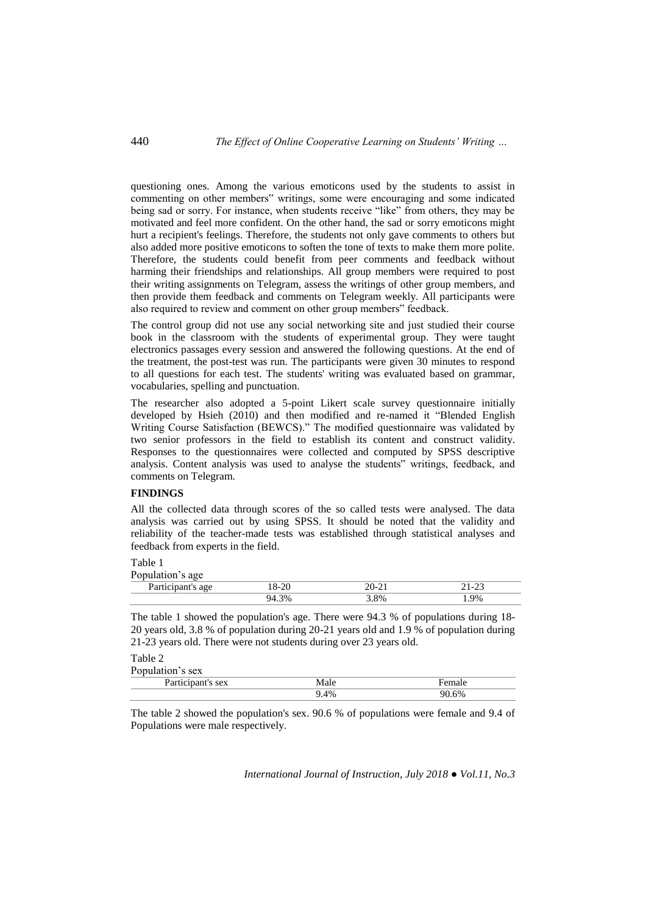questioning ones. Among the various emoticons used by the students to assist in commenting on other members" writings, some were encouraging and some indicated being sad or sorry. For instance, when students receive "like" from others, they may be motivated and feel more confident. On the other hand, the sad or sorry emoticons might hurt a recipient's feelings. Therefore, the students not only gave comments to others but also added more positive emoticons to soften the tone of texts to make them more polite. Therefore, the students could benefit from peer comments and feedback without harming their friendships and relationships. All group members were required to post their writing assignments on Telegram, assess the writings of other group members, and then provide them feedback and comments on Telegram weekly. All participants were also required to review and comment on other group members" feedback.

The control group did not use any social networking site and just studied their course book in the classroom with the students of experimental group. They were taught electronics passages every session and answered the following questions. At the end of the treatment, the post-test was run. The participants were given 30 minutes to respond to all questions for each test. The students' writing was evaluated based on grammar, vocabularies, spelling and punctuation.

The researcher also adopted a 5-point Likert scale survey questionnaire initially developed by Hsieh (2010) and then modified and re-named it "Blended English Writing Course Satisfaction (BEWCS)." The modified questionnaire was validated by two senior professors in the field to establish its content and construct validity. Responses to the questionnaires were collected and computed by SPSS descriptive analysis. Content analysis was used to analyse the students" writings, feedback, and comments on Telegram.

## **FINDINGS**

All the collected data through scores of the so called tests were analysed. The data analysis was carried out by using SPSS. It should be noted that the validity and reliability of the teacher-made tests was established through statistical analyses and feedback from experts in the field.

#### Table 1 Population's age

| T opulation 5 age |    |     |                                    |
|-------------------|----|-----|------------------------------------|
| -a.               | o  | 'O- | $\sim$<br>$\overline{\phantom{0}}$ |
|                   | 3% | 8%  | .9%                                |

The table 1 showed the population's age. There were 94.3 % of populations during 18- 20 years old, 3.8 % of population during 20-21 years old and 1.9 % of population during 21-23 years old. There were not students during over 23 years old.

#### Table 2 Population's sex

| PODUIALIOII S SEX              |      |     |
|--------------------------------|------|-----|
| Dortiginan<br>it's sex<br>r ai | Male |     |
|                                | 4%   | .6% |

The table 2 showed the population's sex. 90.6 % of populations were female and 9.4 of Populations were male respectively.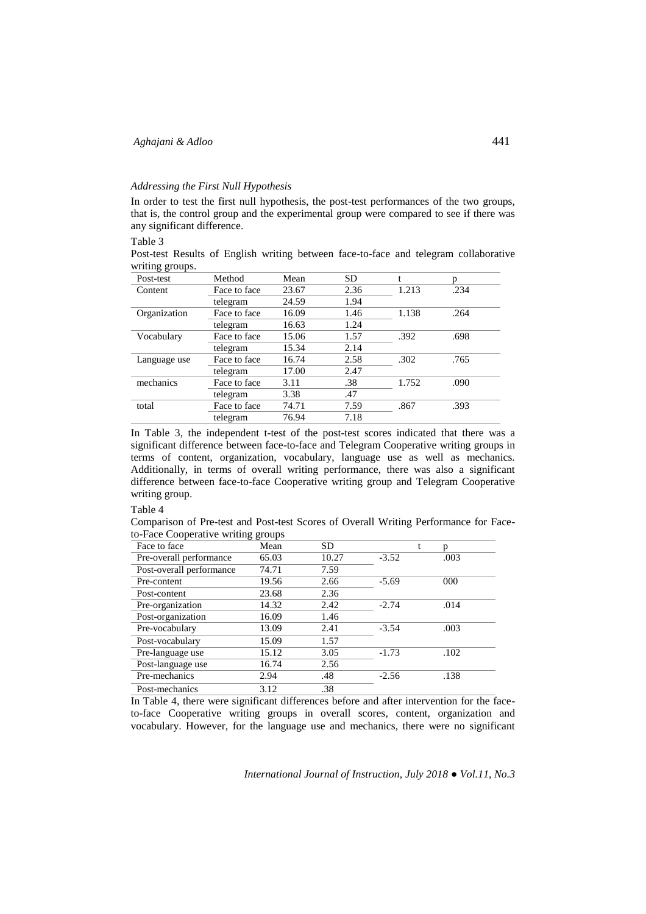## *Addressing the First Null Hypothesis*

In order to test the first null hypothesis, the post-test performances of the two groups, that is, the control group and the experimental group were compared to see if there was any significant difference.

## Table 3

Post-test Results of English writing between face-to-face and telegram collaborative writing groups.

| Post-test    | Method       | Mean  | <b>SD</b> |       |      |
|--------------|--------------|-------|-----------|-------|------|
| Content      | Face to face | 23.67 | 2.36      | 1.213 | .234 |
|              | telegram     | 24.59 | 1.94      |       |      |
| Organization | Face to face | 16.09 | 1.46      | 1.138 | .264 |
|              | telegram     | 16.63 | 1.24      |       |      |
| Vocabulary   | Face to face | 15.06 | 1.57      | .392  | .698 |
|              | telegram     | 15.34 | 2.14      |       |      |
| Language use | Face to face | 16.74 | 2.58      | .302  | .765 |
|              | telegram     | 17.00 | 2.47      |       |      |
| mechanics    | Face to face | 3.11  | .38       | 1.752 | .090 |
|              | telegram     | 3.38  | .47       |       |      |
| total        | Face to face | 74.71 | 7.59      | .867  | .393 |
|              | telegram     | 76.94 | 7.18      |       |      |

In Table 3, the independent t-test of the post-test scores indicated that there was a significant difference between face-to-face and Telegram Cooperative writing groups in terms of content, organization, vocabulary, language use as well as mechanics. Additionally, in terms of overall writing performance, there was also a significant difference between face-to-face Cooperative writing group and Telegram Cooperative writing group.

### Table 4

Comparison of Pre-test and Post-test Scores of Overall Writing Performance for Faceto-Face Cooperative writing groups

| Face to face             | Mean  | <b>SD</b> |         | p    |  |
|--------------------------|-------|-----------|---------|------|--|
| Pre-overall performance  | 65.03 | 10.27     | $-3.52$ | .003 |  |
| Post-overall performance | 74.71 | 7.59      |         |      |  |
| Pre-content              | 19.56 | 2.66      | $-5.69$ | 000  |  |
| Post-content             | 23.68 | 2.36      |         |      |  |
| Pre-organization         | 14.32 | 2.42      | $-2.74$ | .014 |  |
| Post-organization        | 16.09 | 1.46      |         |      |  |
| Pre-vocabulary           | 13.09 | 2.41      | $-3.54$ | .003 |  |
| Post-vocabulary          | 15.09 | 1.57      |         |      |  |
| Pre-language use         | 15.12 | 3.05      | $-1.73$ | .102 |  |
| Post-language use        | 16.74 | 2.56      |         |      |  |
| Pre-mechanics            | 2.94  | .48       | $-2.56$ | .138 |  |
| Post-mechanics           | 3.12  | .38       |         |      |  |

In Table 4, there were significant differences before and after intervention for the faceto-face Cooperative writing groups in overall scores, content, organization and vocabulary. However, for the language use and mechanics, there were no significant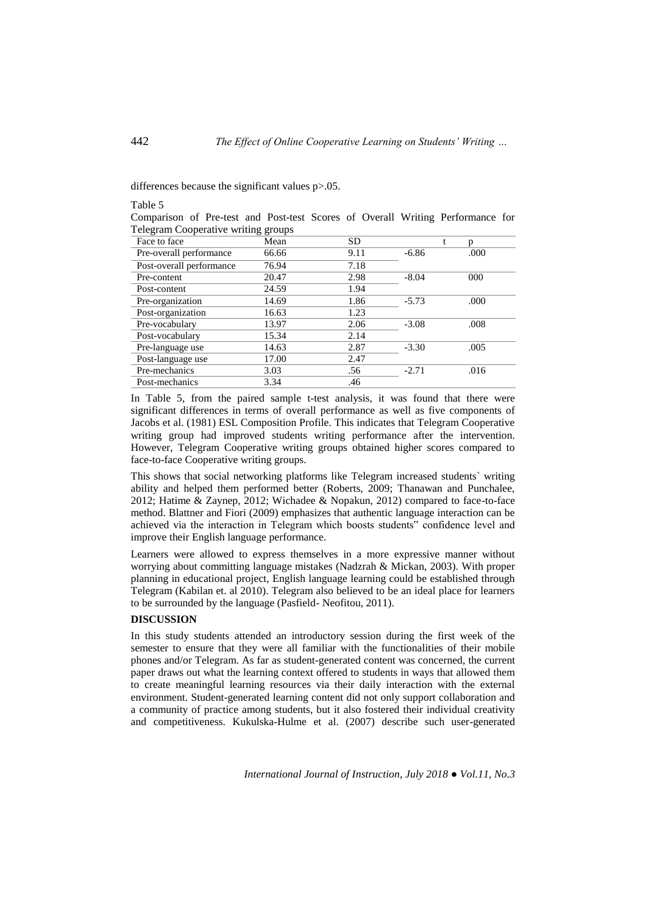differences because the significant values p>.05.

#### Table 5

|                                     |  |  |  |  | Comparison of Pre-test and Post-test Scores of Overall Writing Performance for |  |
|-------------------------------------|--|--|--|--|--------------------------------------------------------------------------------|--|
| Telegram Cooperative writing groups |  |  |  |  |                                                                                |  |

| Face to face             | Mean  | SD.  |         | p    |
|--------------------------|-------|------|---------|------|
| Pre-overall performance  | 66.66 | 9.11 | $-6.86$ | .000 |
| Post-overall performance | 76.94 | 7.18 |         |      |
| Pre-content              | 20.47 | 2.98 | $-8.04$ | 000  |
| Post-content             | 24.59 | 1.94 |         |      |
| Pre-organization         | 14.69 | 1.86 | $-5.73$ | .000 |
| Post-organization        | 16.63 | 1.23 |         |      |
| Pre-vocabulary           | 13.97 | 2.06 | $-3.08$ | .008 |
| Post-vocabulary          | 15.34 | 2.14 |         |      |
| Pre-language use         | 14.63 | 2.87 | $-3.30$ | .005 |
| Post-language use        | 17.00 | 2.47 |         |      |
| Pre-mechanics            | 3.03  | .56  | $-2.71$ | .016 |
| Post-mechanics           | 3.34  | .46  |         |      |

In Table 5, from the paired sample t-test analysis, it was found that there were significant differences in terms of overall performance as well as five components of Jacobs et al. (1981) ESL Composition Profile. This indicates that Telegram Cooperative writing group had improved students writing performance after the intervention. However, Telegram Cooperative writing groups obtained higher scores compared to face-to-face Cooperative writing groups.

This shows that social networking platforms like Telegram increased students` writing ability and helped them performed better (Roberts, 2009; Thanawan and Punchalee, 2012; Hatime & Zaynep, 2012; Wichadee & Nopakun, 2012) compared to face-to-face method. Blattner and Fiori (2009) emphasizes that authentic language interaction can be achieved via the interaction in Telegram which boosts students" confidence level and improve their English language performance.

Learners were allowed to express themselves in a more expressive manner without worrying about committing language mistakes (Nadzrah & Mickan, 2003). With proper planning in educational project, English language learning could be established through Telegram (Kabilan et. al 2010). Telegram also believed to be an ideal place for learners to be surrounded by the language (Pasfield- Neofitou, 2011).

## **DISCUSSION**

In this study students attended an introductory session during the first week of the semester to ensure that they were all familiar with the functionalities of their mobile phones and/or Telegram. As far as student-generated content was concerned, the current paper draws out what the learning context offered to students in ways that allowed them to create meaningful learning resources via their daily interaction with the external environment. Student-generated learning content did not only support collaboration and a community of practice among students, but it also fostered their individual creativity and competitiveness. Kukulska-Hulme et al. (2007) describe such user-generated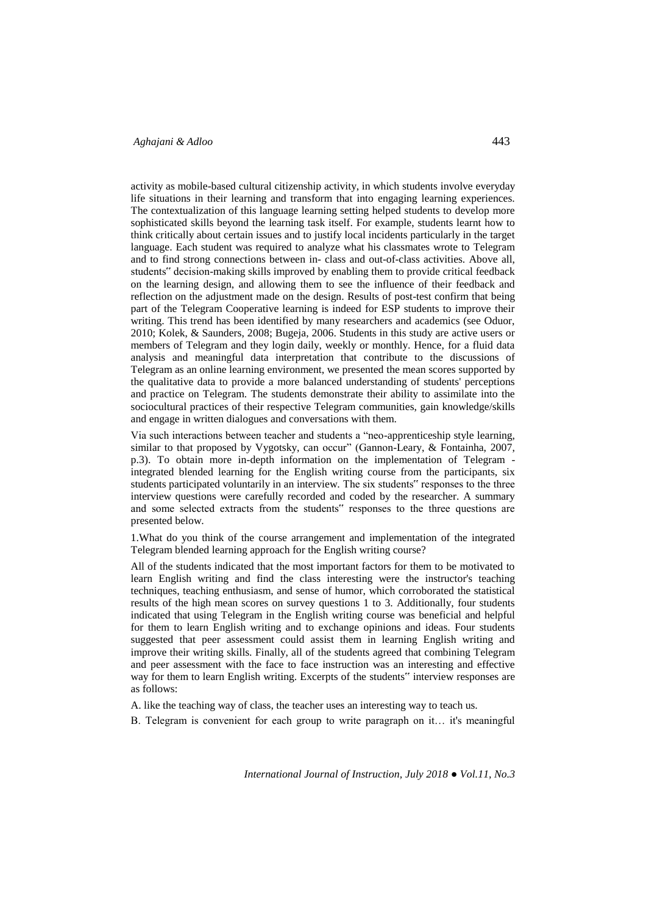## *Aghajani & Adloo* 443

activity as mobile-based cultural citizenship activity, in which students involve everyday life situations in their learning and transform that into engaging learning experiences. The contextualization of this language learning setting helped students to develop more sophisticated skills beyond the learning task itself. For example, students learnt how to think critically about certain issues and to justify local incidents particularly in the target language. Each student was required to analyze what his classmates wrote to Telegram and to find strong connections between in- class and out-of-class activities. Above all, students" decision-making skills improved by enabling them to provide critical feedback on the learning design, and allowing them to see the influence of their feedback and reflection on the adjustment made on the design. Results of post-test confirm that being part of the Telegram Cooperative learning is indeed for ESP students to improve their writing. This trend has been identified by many researchers and academics (see Oduor, 2010; Kolek, & Saunders, 2008; Bugeja, 2006. Students in this study are active users or members of Telegram and they login daily, weekly or monthly. Hence, for a fluid data analysis and meaningful data interpretation that contribute to the discussions of Telegram as an online learning environment, we presented the mean scores supported by the qualitative data to provide a more balanced understanding of students' perceptions and practice on Telegram. The students demonstrate their ability to assimilate into the sociocultural practices of their respective Telegram communities, gain knowledge/skills and engage in written dialogues and conversations with them.

Via such interactions between teacher and students a "neo-apprenticeship style learning, similar to that proposed by Vygotsky, can occur" (Gannon-Leary, & Fontainha, 2007, p.3). To obtain more in-depth information on the implementation of Telegram integrated blended learning for the English writing course from the participants, six students participated voluntarily in an interview. The six students" responses to the three interview questions were carefully recorded and coded by the researcher. A summary and some selected extracts from the students" responses to the three questions are presented below.

1.What do you think of the course arrangement and implementation of the integrated Telegram blended learning approach for the English writing course?

All of the students indicated that the most important factors for them to be motivated to learn English writing and find the class interesting were the instructor's teaching techniques, teaching enthusiasm, and sense of humor, which corroborated the statistical results of the high mean scores on survey questions 1 to 3. Additionally, four students indicated that using Telegram in the English writing course was beneficial and helpful for them to learn English writing and to exchange opinions and ideas. Four students suggested that peer assessment could assist them in learning English writing and improve their writing skills. Finally, all of the students agreed that combining Telegram and peer assessment with the face to face instruction was an interesting and effective way for them to learn English writing. Excerpts of the students" interview responses are as follows:

A. like the teaching way of class, the teacher uses an interesting way to teach us.

B. Telegram is convenient for each group to write paragraph on it… it's meaningful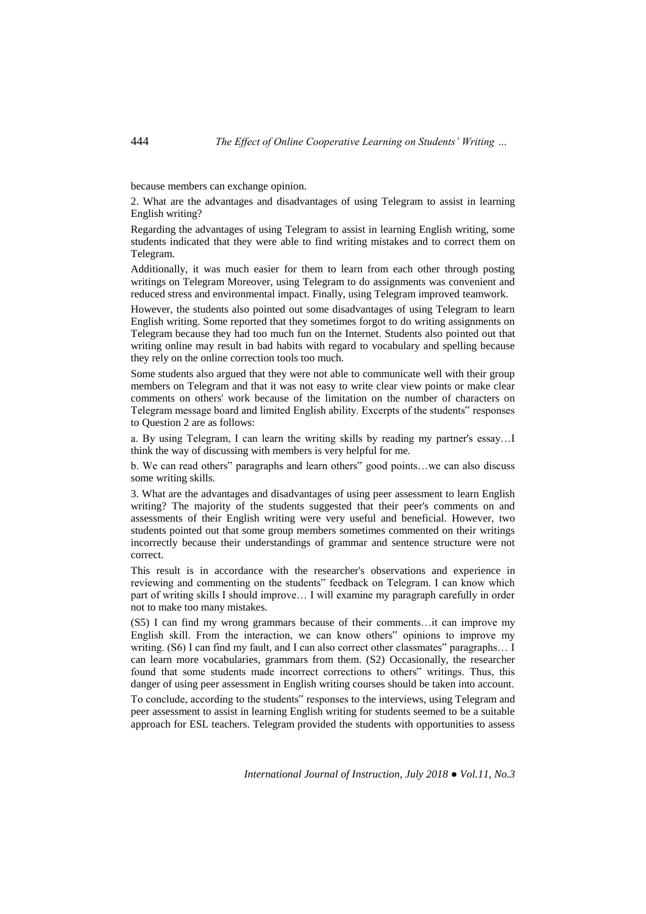because members can exchange opinion.

2. What are the advantages and disadvantages of using Telegram to assist in learning English writing?

Regarding the advantages of using Telegram to assist in learning English writing, some students indicated that they were able to find writing mistakes and to correct them on Telegram.

Additionally, it was much easier for them to learn from each other through posting writings on Telegram Moreover, using Telegram to do assignments was convenient and reduced stress and environmental impact. Finally, using Telegram improved teamwork.

However, the students also pointed out some disadvantages of using Telegram to learn English writing. Some reported that they sometimes forgot to do writing assignments on Telegram because they had too much fun on the Internet. Students also pointed out that writing online may result in bad habits with regard to vocabulary and spelling because they rely on the online correction tools too much.

Some students also argued that they were not able to communicate well with their group members on Telegram and that it was not easy to write clear view points or make clear comments on others' work because of the limitation on the number of characters on Telegram message board and limited English ability. Excerpts of the students" responses to Question 2 are as follows:

a. By using Telegram, I can learn the writing skills by reading my partner's essay…I think the way of discussing with members is very helpful for me.

b. We can read others" paragraphs and learn others" good points…we can also discuss some writing skills.

3. What are the advantages and disadvantages of using peer assessment to learn English writing? The majority of the students suggested that their peer's comments on and assessments of their English writing were very useful and beneficial. However, two students pointed out that some group members sometimes commented on their writings incorrectly because their understandings of grammar and sentence structure were not correct.

This result is in accordance with the researcher's observations and experience in reviewing and commenting on the students" feedback on Telegram. I can know which part of writing skills I should improve… I will examine my paragraph carefully in order not to make too many mistakes.

(S5) I can find my wrong grammars because of their comments…it can improve my English skill. From the interaction, we can know others" opinions to improve my writing. (S6) I can find my fault, and I can also correct other classmates" paragraphs… I can learn more vocabularies, grammars from them. (S2) Occasionally, the researcher found that some students made incorrect corrections to others" writings. Thus, this danger of using peer assessment in English writing courses should be taken into account.

To conclude, according to the students" responses to the interviews, using Telegram and peer assessment to assist in learning English writing for students seemed to be a suitable approach for ESL teachers. Telegram provided the students with opportunities to assess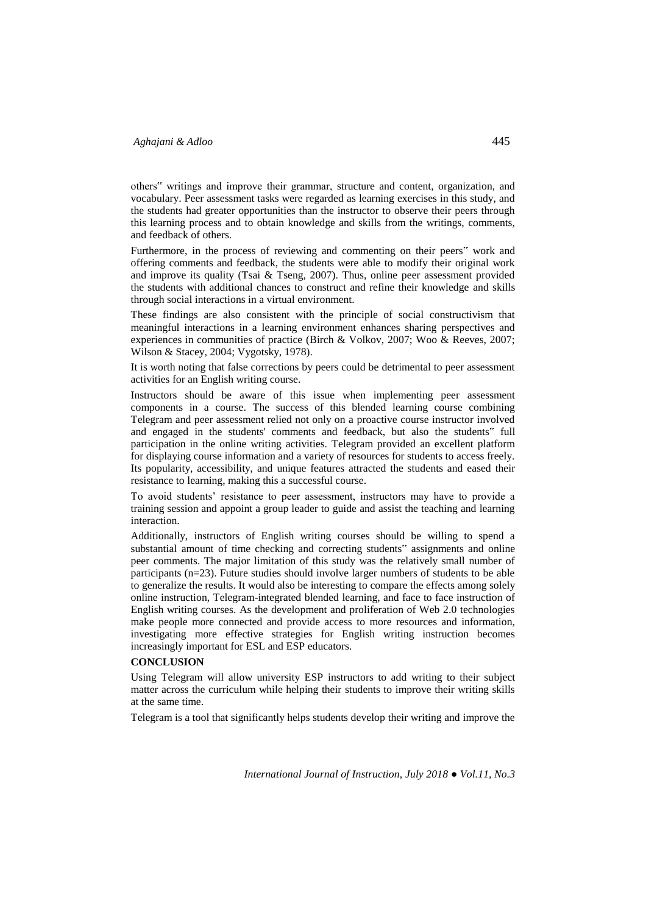others" writings and improve their grammar, structure and content, organization, and vocabulary. Peer assessment tasks were regarded as learning exercises in this study, and the students had greater opportunities than the instructor to observe their peers through this learning process and to obtain knowledge and skills from the writings, comments, and feedback of others.

Furthermore, in the process of reviewing and commenting on their peers" work and offering comments and feedback, the students were able to modify their original work and improve its quality (Tsai  $\&$  Tseng, 2007). Thus, online peer assessment provided the students with additional chances to construct and refine their knowledge and skills through social interactions in a virtual environment.

These findings are also consistent with the principle of social constructivism that meaningful interactions in a learning environment enhances sharing perspectives and experiences in communities of practice (Birch & Volkov, 2007; Woo & Reeves, 2007; Wilson & Stacey, 2004; Vygotsky, 1978).

It is worth noting that false corrections by peers could be detrimental to peer assessment activities for an English writing course.

Instructors should be aware of this issue when implementing peer assessment components in a course. The success of this blended learning course combining Telegram and peer assessment relied not only on a proactive course instructor involved and engaged in the students' comments and feedback, but also the students" full participation in the online writing activities. Telegram provided an excellent platform for displaying course information and a variety of resources for students to access freely. Its popularity, accessibility, and unique features attracted the students and eased their resistance to learning, making this a successful course.

To avoid students' resistance to peer assessment, instructors may have to provide a training session and appoint a group leader to guide and assist the teaching and learning interaction.

Additionally, instructors of English writing courses should be willing to spend a substantial amount of time checking and correcting students" assignments and online peer comments. The major limitation of this study was the relatively small number of participants (n=23). Future studies should involve larger numbers of students to be able to generalize the results. It would also be interesting to compare the effects among solely online instruction, Telegram-integrated blended learning, and face to face instruction of English writing courses. As the development and proliferation of Web 2.0 technologies make people more connected and provide access to more resources and information, investigating more effective strategies for English writing instruction becomes increasingly important for ESL and ESP educators.

# **CONCLUSION**

Using Telegram will allow university ESP instructors to add writing to their subject matter across the curriculum while helping their students to improve their writing skills at the same time.

Telegram is a tool that significantly helps students develop their writing and improve the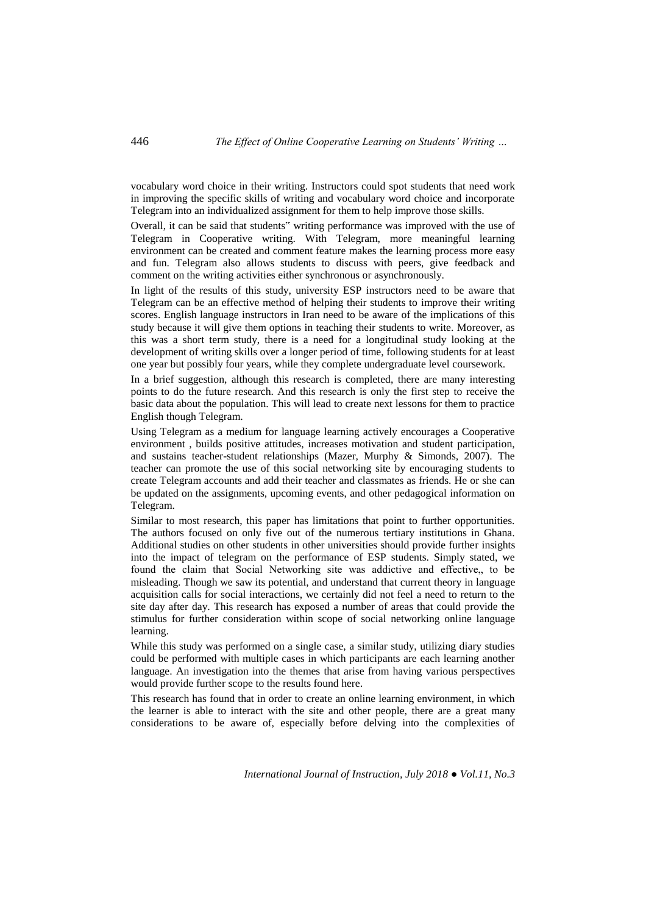vocabulary word choice in their writing. Instructors could spot students that need work in improving the specific skills of writing and vocabulary word choice and incorporate Telegram into an individualized assignment for them to help improve those skills.

Overall, it can be said that students" writing performance was improved with the use of Telegram in Cooperative writing. With Telegram, more meaningful learning environment can be created and comment feature makes the learning process more easy and fun. Telegram also allows students to discuss with peers, give feedback and comment on the writing activities either synchronous or asynchronously.

In light of the results of this study, university ESP instructors need to be aware that Telegram can be an effective method of helping their students to improve their writing scores. English language instructors in Iran need to be aware of the implications of this study because it will give them options in teaching their students to write. Moreover, as this was a short term study, there is a need for a longitudinal study looking at the development of writing skills over a longer period of time, following students for at least one year but possibly four years, while they complete undergraduate level coursework.

In a brief suggestion, although this research is completed, there are many interesting points to do the future research. And this research is only the first step to receive the basic data about the population. This will lead to create next lessons for them to practice English though Telegram.

Using Telegram as a medium for language learning actively encourages a Cooperative environment , builds positive attitudes, increases motivation and student participation, and sustains teacher-student relationships (Mazer, Murphy & Simonds, 2007). The teacher can promote the use of this social networking site by encouraging students to create Telegram accounts and add their teacher and classmates as friends. He or she can be updated on the assignments, upcoming events, and other pedagogical information on Telegram.

Similar to most research, this paper has limitations that point to further opportunities. The authors focused on only five out of the numerous tertiary institutions in Ghana. Additional studies on other students in other universities should provide further insights into the impact of telegram on the performance of ESP students. Simply stated, we found the claim that Social Networking site was addictive and effective, to be misleading. Though we saw its potential, and understand that current theory in language acquisition calls for social interactions, we certainly did not feel a need to return to the site day after day. This research has exposed a number of areas that could provide the stimulus for further consideration within scope of social networking online language learning.

While this study was performed on a single case, a similar study, utilizing diary studies could be performed with multiple cases in which participants are each learning another language. An investigation into the themes that arise from having various perspectives would provide further scope to the results found here.

This research has found that in order to create an online learning environment, in which the learner is able to interact with the site and other people, there are a great many considerations to be aware of, especially before delving into the complexities of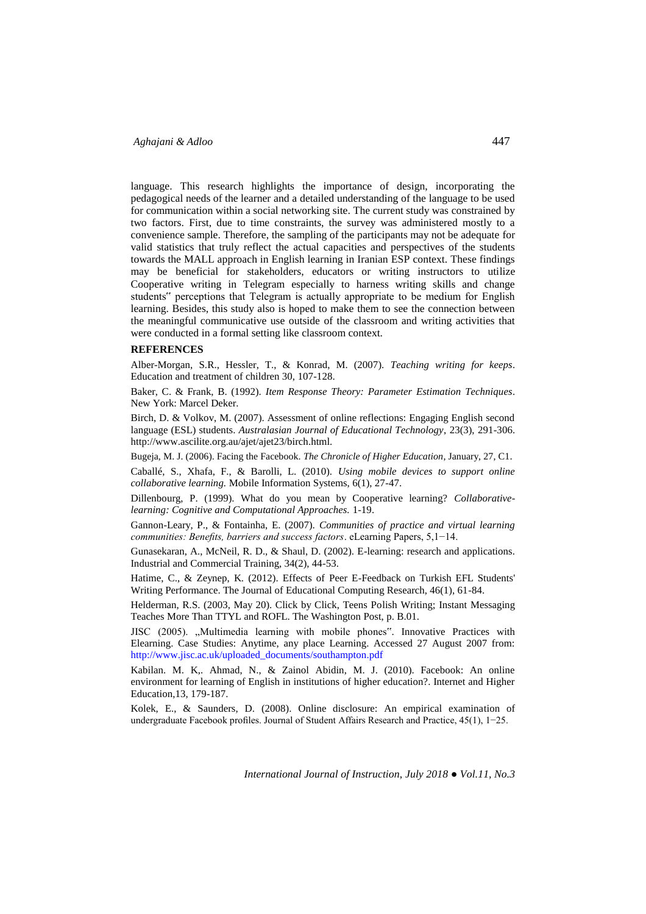# *Aghajani & Adloo* 447

language. This research highlights the importance of design, incorporating the pedagogical needs of the learner and a detailed understanding of the language to be used for communication within a social networking site. The current study was constrained by two factors. First, due to time constraints, the survey was administered mostly to a convenience sample. Therefore, the sampling of the participants may not be adequate for valid statistics that truly reflect the actual capacities and perspectives of the students towards the MALL approach in English learning in Iranian ESP context. These findings may be beneficial for stakeholders, educators or writing instructors to utilize Cooperative writing in Telegram especially to harness writing skills and change students" perceptions that Telegram is actually appropriate to be medium for English learning. Besides, this study also is hoped to make them to see the connection between the meaningful communicative use outside of the classroom and writing activities that were conducted in a formal setting like classroom context.

#### **REFERENCES**

Alber-Morgan, S.R., Hessler, T., & Konrad, M. (2007). *Teaching writing for keeps*. Education and treatment of children 30, 107-128.

Baker, C. & Frank, B. (1992). *Item Response Theory: Parameter Estimation Techniques*. New York: Marcel Deker.

Birch, D. & Volkov, M. (2007). Assessment of online reflections: Engaging English second language (ESL) students. *Australasian Journal of Educational Technology*, 23(3), 291-306. http://www.ascilite.org.au/ajet/ajet23/birch.html.

Bugeja, M. J. (2006). Facing the Facebook. *The Chronicle of Higher Education*, January, 27, C1.

Caballé, S., Xhafa, F., & Barolli, L. (2010). *Using mobile devices to support online collaborative learning.* Mobile Information Systems, 6(1), 27-47.

Dillenbourg, P. (1999). What do you mean by Cooperative learning? *Collaborativelearning: Cognitive and Computational Approaches.* 1-19.

Gannon-Leary, P., & Fontainha, E. (2007). *Communities of practice and virtual learning communities: Benefits, barriers and success factors*. eLearning Papers, 5,1−14.

Gunasekaran, A., McNeil, R. D., & Shaul, D. (2002). E-learning: research and applications. Industrial and Commercial Training, 34(2), 44-53.

Hatime, C., & Zeynep, K. (2012). Effects of Peer E-Feedback on Turkish EFL Students' Writing Performance. The Journal of Educational Computing Research, 46(1), 61-84.

Helderman, R.S. (2003, May 20). Click by Click, Teens Polish Writing; Instant Messaging Teaches More Than TTYL and ROFL. The Washington Post, p. B.01.

JISC (2005). "Multimedia learning with mobile phones". Innovative Practices with Elearning. Case Studies: Anytime, any place Learning. Accessed 27 August 2007 from: [http://www.jisc.ac.uk/uploaded\\_documents/southampton.pdf](http://www.jisc.ac.uk/uploaded_documents/southampton.pdf)

Kabilan. M. K,. Ahmad, N., & Zainol Abidin, M. J. (2010). Facebook: An online environment for learning of English in institutions of higher education?. Internet and Higher Education,13, 179-187.

Kolek, E., & Saunders, D. (2008). Online disclosure: An empirical examination of undergraduate Facebook profiles. Journal of Student Affairs Research and Practice, 45(1), 1−25.